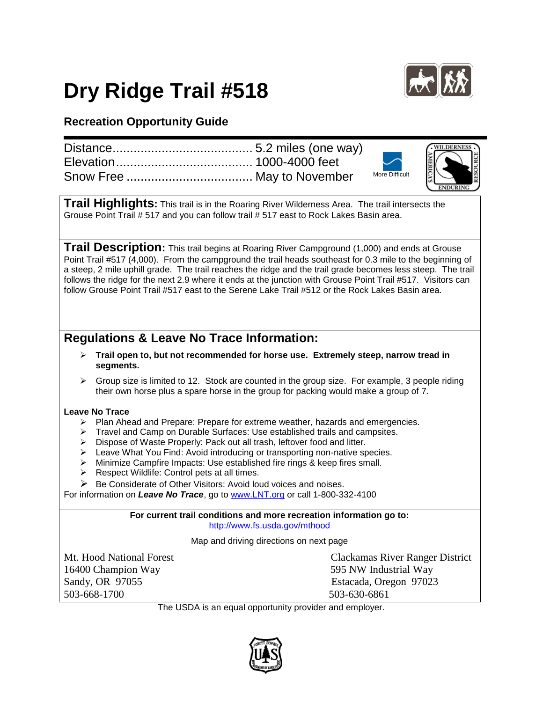## **Dry Ridge Trail #518**



## **Recreation Opportunity Guide**

|  |                       | RESOURCE |
|--|-----------------------|----------|
|  | <b>More Difficult</b> |          |
|  |                       |          |

**Trail Highlights:** This trail is in the Roaring River Wilderness Area. The trail intersects the Grouse Point Trail *#* 517 and you can follow trail # 517 east to Rock Lakes Basin area.

**Trail Description:** This trail begins at Roaring River Campground (1,000) and ends at Grouse Point Trail #517 (4,000). From the campground the trail heads southeast for 0.3 mile to the beginning of a steep, 2 mile uphill grade. The trail reaches the ridge and the trail grade becomes less steep. The trail follows the ridge for the next 2.9 where it ends at the junction with Grouse Point Trail #517. Visitors can follow Grouse Point Trail #517 east to the Serene Lake Trail #512 or the Rock Lakes Basin area.

## **Regulations & Leave No Trace Information:**

- **Trail open to, but not recommended for horse use. Extremely steep, narrow tread in segments.**
- $\triangleright$  Group size is limited to 12. Stock are counted in the group size. For example, 3 people riding their own horse plus a spare horse in the group for packing would make a group of 7.

## **Leave No Trace**

- $\triangleright$  Plan Ahead and Prepare: Prepare for extreme weather, hazards and emergencies.
- > Travel and Camp on Durable Surfaces: Use established trails and campsites.
- > Dispose of Waste Properly: Pack out all trash, leftover food and litter.
- > Leave What You Find: Avoid introducing or transporting non-native species.
- > Minimize Campfire Impacts: Use established fire rings & keep fires small.
- $\triangleright$  Respect Wildlife: Control pets at all times.
- $\triangleright$  Be Considerate of Other Visitors: Avoid loud voices and noises.

For information on *Leave No Trace*, go to [www.LNT.org](http://www.lnt.org/) or call 1-800-332-4100

**For current trail conditions and more recreation information go to:** <http://www.fs.usda.gov/mthood>

Map and driving directions on next page

16400 Champion Way 595 NW Industrial Way Sandy, OR 97055 Estacada, Oregon 97023 503-668-1700 503-630-6861

Mt. Hood National Forest Clackamas River Ranger District

The USDA is an equal opportunity provider and employer.